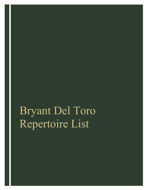## Bryant Del Toro Repertoire List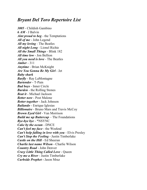## *Bryant Del Toro Repertoire List*

*3005 -* Childish Gambino *6 AM -* J Balvin *Aint proud to beg -* the Temptations *All of me* - John Legend *All my loving -* The Beatles *All night Long -* Lionel Richie *All the Small Things -* Blink 182 *All time low -* Jon Bellion *All you need is love -* The Beatles *Amber -* 311 *Anytime -* Brian McKnight *Are You Gonna Be My Girl -* Jet *Baby shark Barfly* - Ray LaMontagne *Bartender* - T-Pain *Bad boys* - Inner Circle *Burden* - the Rolling Stones *Beat it* - Michael Jackson *Better now* - Post Malone *Better together* - Jack Johnson *Bailando* - Enrique Iglesias *Billionaire* - Bruno Mars and Travis McCoy *Brown Eyed Girl* - Van Morrison *Build me up Buttercup* – The Foundations *Bye-bye bye* - \*NSYNC *Cake by the ocean* - DNCE *Can't feel my face* - the Weeknd *Can't help falling in love with you* - Elvis Presley *Can't Stop the Feeling* - Justin Timberlake *Castle on the Hill* - Ed Sheeran *Charlie last name Wilson* - Charlie Wilson *Country Road* - John Denver *Crazy Little Thing Called Love* - Queen *Cry me a River* - Justin Timberlake *Curbside Prophet -* Jason Mraz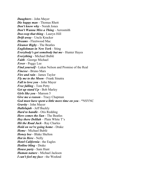*Daughters* - John Mayer *Die happy man* - Thomas Rhett *Don't know why* - Norah Jones *Don't Wanna Miss a Thing* - Aerosmith *Doo-wop that thing* - Lauryn Hill *Drift away* - Uncle Kracker *Dreams* - Fleetwood Mac *Eleanor Rigby* - The Beatles *Englishman in New York* - Sting *Everybody's got somebody but me* - Hunter Hayes *Everything* - Michael Bublé *Faith* - George Michael *Fever* - Peggy Lee *Find yourself* - Lukas Nelson and Promise of the Real *Finesse* - Bruno Mars *Fire and rain* - James Taylor *Fly me to the Moon* - Frank Sinatra *Fall to love you* - John Mayer *Free falling* - Tom Petty *Get up stand Up* - Bob Marley *Girls like you* - Maroon 5 *Give me a reason* - Tracy Chapman *God must have spent a little more time on you* - \*NSYNC *Gravity* - John Mayer *Hallelujah* - Jeff Buckly *Hard to handle* - Otis Redding *Here comes the Sun* - The Beatles *Hey there Delilah* – Plain White T's *Hit the Road Jack* - Ray Charles *Hold on we're going home* - Drake *Home* - Michael Bublé *Honey bee* - Blake Shelton *Hot in Here* - Nelly *Hotel California* - the Eagles *Hotline bling* - Drake *House party* - Sam Hunt *Human nature* - Michael Jackson *I can't feel my face* - the Weeknd